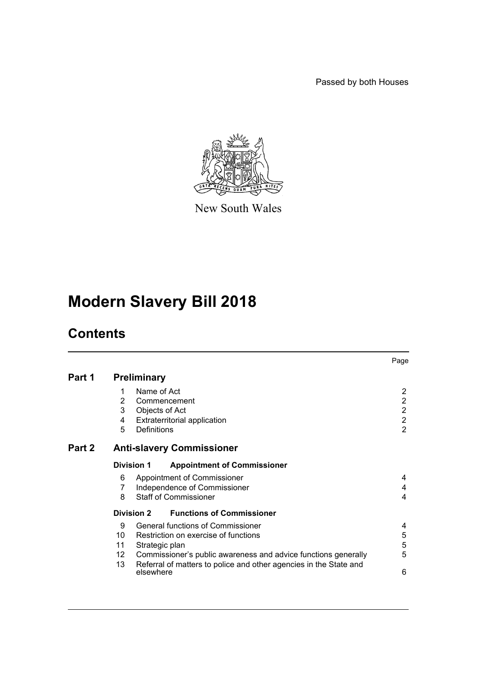Passed by both Houses



New South Wales

# **Modern Slavery Bill 2018**

# **Contents**

|        |                                                         |                |                                                                   | Page             |  |  |
|--------|---------------------------------------------------------|----------------|-------------------------------------------------------------------|------------------|--|--|
| Part 1 | <b>Preliminary</b>                                      |                |                                                                   |                  |  |  |
|        | 1                                                       | Name of Act    |                                                                   | 2                |  |  |
|        | $\overline{2}$                                          |                | Commencement                                                      | $\overline{2}$   |  |  |
|        | 3                                                       | Objects of Act |                                                                   | $\overline{2}$   |  |  |
|        | 4                                                       |                | <b>Extraterritorial application</b>                               | $\boldsymbol{2}$ |  |  |
|        | 5                                                       | Definitions    |                                                                   | $\overline{2}$   |  |  |
| Part 2 | <b>Anti-slavery Commissioner</b>                        |                |                                                                   |                  |  |  |
|        | <b>Division 1</b><br><b>Appointment of Commissioner</b> |                |                                                                   |                  |  |  |
|        | 6                                                       |                | Appointment of Commissioner                                       | 4                |  |  |
|        | 7                                                       |                | Independence of Commissioner                                      | 4                |  |  |
|        | 8                                                       |                | <b>Staff of Commissioner</b>                                      | 4                |  |  |
|        | Division 2                                              |                | <b>Functions of Commissioner</b>                                  |                  |  |  |
|        | 9                                                       |                | General functions of Commissioner                                 | 4                |  |  |
|        | 10                                                      |                | Restriction on exercise of functions                              | 5                |  |  |
|        | 11                                                      | Strategic plan |                                                                   | 5                |  |  |
|        | 12                                                      |                | Commissioner's public awareness and advice functions generally    | 5                |  |  |
|        | 13                                                      | elsewhere      | Referral of matters to police and other agencies in the State and | 6                |  |  |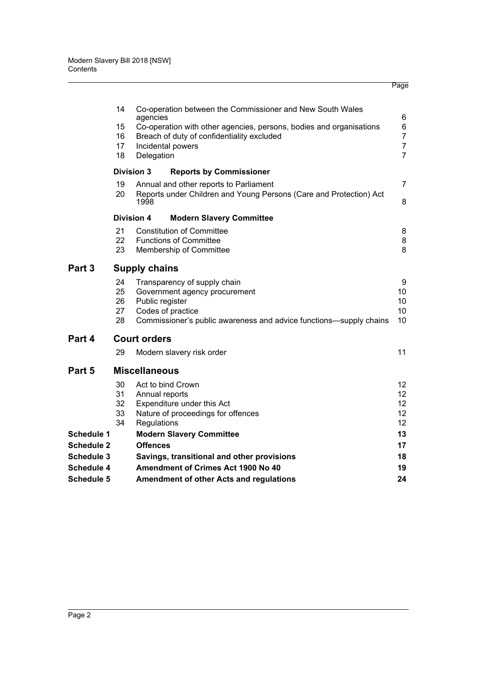|                                        |                                                                           |                                                                            | Page                |  |  |  |  |
|----------------------------------------|---------------------------------------------------------------------------|----------------------------------------------------------------------------|---------------------|--|--|--|--|
|                                        | 14                                                                        | Co-operation between the Commissioner and New South Wales<br>agencies      | 6                   |  |  |  |  |
|                                        | 15<br>Co-operation with other agencies, persons, bodies and organisations |                                                                            |                     |  |  |  |  |
|                                        | 16                                                                        | Breach of duty of confidentiality excluded                                 | 6<br>$\overline{7}$ |  |  |  |  |
|                                        | 17                                                                        | Incidental powers                                                          | $\overline{7}$      |  |  |  |  |
|                                        | 18                                                                        | Delegation                                                                 | $\overline{7}$      |  |  |  |  |
|                                        |                                                                           | <b>Division 3</b><br><b>Reports by Commissioner</b>                        |                     |  |  |  |  |
|                                        | 19                                                                        | Annual and other reports to Parliament                                     | 7                   |  |  |  |  |
|                                        | 20                                                                        | Reports under Children and Young Persons (Care and Protection) Act<br>1998 | 8                   |  |  |  |  |
|                                        |                                                                           | <b>Division 4</b><br><b>Modern Slavery Committee</b>                       |                     |  |  |  |  |
|                                        | 21                                                                        | <b>Constitution of Committee</b>                                           | 8                   |  |  |  |  |
|                                        | 22                                                                        | <b>Functions of Committee</b>                                              | 8                   |  |  |  |  |
|                                        | 23                                                                        | Membership of Committee                                                    | 8                   |  |  |  |  |
| Part 3                                 | <b>Supply chains</b>                                                      |                                                                            |                     |  |  |  |  |
|                                        | 24                                                                        | Transparency of supply chain                                               | 9                   |  |  |  |  |
|                                        | 25                                                                        | Government agency procurement                                              | 10                  |  |  |  |  |
|                                        | 26                                                                        | Public register                                                            | 10                  |  |  |  |  |
|                                        | 27                                                                        | Codes of practice                                                          | 10                  |  |  |  |  |
|                                        | 28                                                                        | Commissioner's public awareness and advice functions-supply chains         | 10                  |  |  |  |  |
| Part 4                                 |                                                                           | <b>Court orders</b>                                                        |                     |  |  |  |  |
|                                        | 29                                                                        | Modern slavery risk order                                                  | 11                  |  |  |  |  |
| Part 5                                 |                                                                           | <b>Miscellaneous</b>                                                       |                     |  |  |  |  |
|                                        | 30                                                                        | Act to bind Crown                                                          | 12                  |  |  |  |  |
|                                        | 31                                                                        | Annual reports                                                             | 12 <sup>2</sup>     |  |  |  |  |
|                                        | 32                                                                        | Expenditure under this Act                                                 | 12                  |  |  |  |  |
|                                        | 33<br>34                                                                  | Nature of proceedings for offences                                         | 12                  |  |  |  |  |
|                                        |                                                                           | Regulations                                                                | 12<br>13            |  |  |  |  |
| <b>Schedule 1</b><br><b>Schedule 2</b> |                                                                           | <b>Modern Slavery Committee</b><br><b>Offences</b>                         | 17                  |  |  |  |  |
| <b>Schedule 3</b>                      |                                                                           | Savings, transitional and other provisions                                 | 18                  |  |  |  |  |
| <b>Schedule 4</b>                      |                                                                           | Amendment of Crimes Act 1900 No 40                                         | 19                  |  |  |  |  |
| <b>Schedule 5</b>                      |                                                                           | Amendment of other Acts and regulations                                    | 24                  |  |  |  |  |
|                                        |                                                                           |                                                                            |                     |  |  |  |  |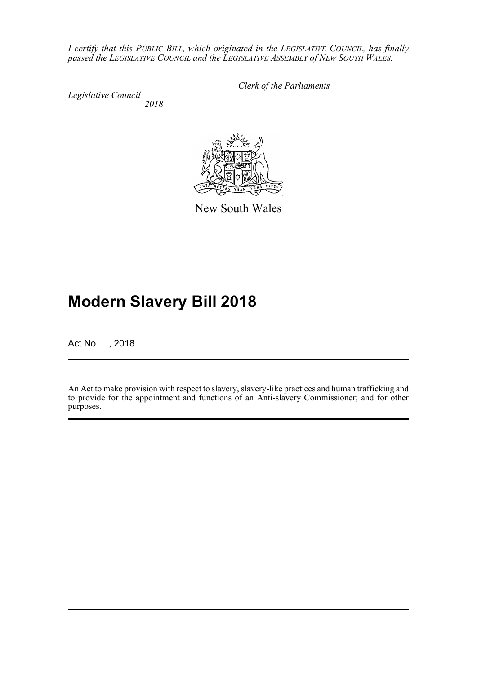*I certify that this PUBLIC BILL, which originated in the LEGISLATIVE COUNCIL, has finally passed the LEGISLATIVE COUNCIL and the LEGISLATIVE ASSEMBLY of NEW SOUTH WALES.*

*Legislative Council 2018* *Clerk of the Parliaments*

New South Wales

# **Modern Slavery Bill 2018**

Act No , 2018

An Act to make provision with respect to slavery, slavery-like practices and human trafficking and to provide for the appointment and functions of an Anti-slavery Commissioner; and for other purposes.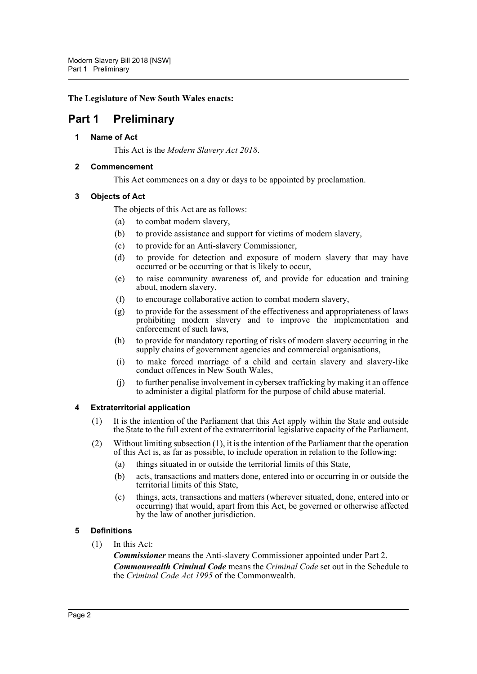#### **The Legislature of New South Wales enacts:**

# <span id="page-3-1"></span><span id="page-3-0"></span>**Part 1 Preliminary**

#### **1 Name of Act**

This Act is the *Modern Slavery Act 2018*.

#### <span id="page-3-2"></span>**2 Commencement**

This Act commences on a day or days to be appointed by proclamation.

#### <span id="page-3-3"></span>**3 Objects of Act**

The objects of this Act are as follows:

- (a) to combat modern slavery,
- (b) to provide assistance and support for victims of modern slavery,
- (c) to provide for an Anti-slavery Commissioner,
- (d) to provide for detection and exposure of modern slavery that may have occurred or be occurring or that is likely to occur,
- (e) to raise community awareness of, and provide for education and training about, modern slavery,
- (f) to encourage collaborative action to combat modern slavery,
- (g) to provide for the assessment of the effectiveness and appropriateness of laws prohibiting modern slavery and to improve the implementation and enforcement of such laws,
- (h) to provide for mandatory reporting of risks of modern slavery occurring in the supply chains of government agencies and commercial organisations,
- (i) to make forced marriage of a child and certain slavery and slavery-like conduct offences in New South Wales,
- (j) to further penalise involvement in cybersex trafficking by making it an offence to administer a digital platform for the purpose of child abuse material.

#### <span id="page-3-4"></span>**4 Extraterritorial application**

- (1) It is the intention of the Parliament that this Act apply within the State and outside the State to the full extent of the extraterritorial legislative capacity of the Parliament.
- (2) Without limiting subsection (1), it is the intention of the Parliament that the operation of this Act is, as far as possible, to include operation in relation to the following:
	- (a) things situated in or outside the territorial limits of this State,
	- (b) acts, transactions and matters done, entered into or occurring in or outside the territorial limits of this State,
	- (c) things, acts, transactions and matters (wherever situated, done, entered into or occurring) that would, apart from this Act, be governed or otherwise affected by the law of another jurisdiction.

#### <span id="page-3-5"></span>**5 Definitions**

(1) In this Act:

*Commissioner* means the Anti-slavery Commissioner appointed under Part 2. *Commonwealth Criminal Code* means the *Criminal Code* set out in the Schedule to the *Criminal Code Act 1995* of the Commonwealth.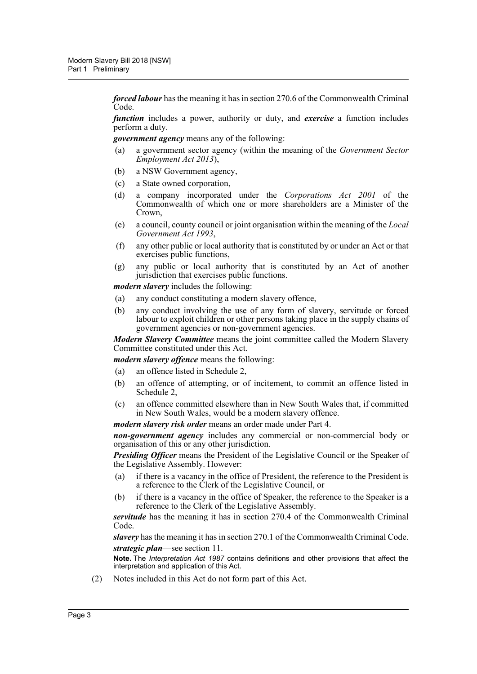*forced labour* has the meaning it has in section 270.6 of the Commonwealth Criminal Code.

*function* includes a power, authority or duty, and *exercise* a function includes perform a duty.

*government agency* means any of the following:

- (a) a government sector agency (within the meaning of the *Government Sector Employment Act 2013*),
- (b) a NSW Government agency,
- (c) a State owned corporation,
- (d) a company incorporated under the *Corporations Act 2001* of the Commonwealth of which one or more shareholders are a Minister of the Crown,
- (e) a council, county council or joint organisation within the meaning of the *Local Government Act 1993*,
- (f) any other public or local authority that is constituted by or under an Act or that exercises public functions,
- (g) any public or local authority that is constituted by an Act of another jurisdiction that exercises public functions.

*modern slavery* includes the following:

- (a) any conduct constituting a modern slavery offence,
- (b) any conduct involving the use of any form of slavery, servitude or forced labour to exploit children or other persons taking place in the supply chains of government agencies or non-government agencies.

*Modern Slavery Committee* means the joint committee called the Modern Slavery Committee constituted under this Act.

*modern slavery offence* means the following:

- (a) an offence listed in Schedule 2,
- (b) an offence of attempting, or of incitement, to commit an offence listed in Schedule 2,
- (c) an offence committed elsewhere than in New South Wales that, if committed in New South Wales, would be a modern slavery offence.

*modern slavery risk order* means an order made under Part 4.

*non-government agency* includes any commercial or non-commercial body or organisation of this or any other jurisdiction.

*Presiding Officer* means the President of the Legislative Council or the Speaker of the Legislative Assembly. However:

- (a) if there is a vacancy in the office of President, the reference to the President is a reference to the Clerk of the Legislative Council, or
- (b) if there is a vacancy in the office of Speaker, the reference to the Speaker is a reference to the Clerk of the Legislative Assembly.

*servitude* has the meaning it has in section 270.4 of the Commonwealth Criminal Code.

*slavery* has the meaning it has in section 270.1 of the Commonwealth Criminal Code. *strategic plan*—see section 11.

**Note.** The *Interpretation Act 1987* contains definitions and other provisions that affect the interpretation and application of this Act.

(2) Notes included in this Act do not form part of this Act.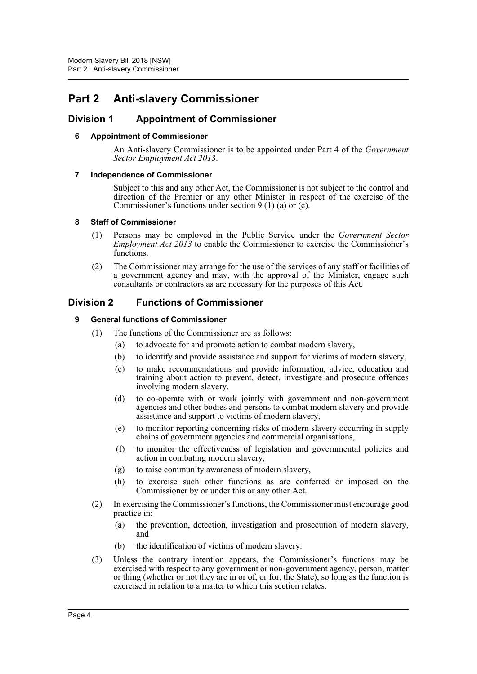# <span id="page-5-0"></span>**Part 2 Anti-slavery Commissioner**

### <span id="page-5-2"></span><span id="page-5-1"></span>**Division 1 Appointment of Commissioner**

#### **6 Appointment of Commissioner**

An Anti-slavery Commissioner is to be appointed under Part 4 of the *Government Sector Employment Act 2013*.

#### <span id="page-5-3"></span>**7 Independence of Commissioner**

Subject to this and any other Act, the Commissioner is not subject to the control and direction of the Premier or any other Minister in respect of the exercise of the Commissioner's functions under section  $9(1)(a)$  or (c).

#### <span id="page-5-4"></span>**8 Staff of Commissioner**

- (1) Persons may be employed in the Public Service under the *Government Sector Employment Act 2013* to enable the Commissioner to exercise the Commissioner's functions.
- (2) The Commissioner may arrange for the use of the services of any staff or facilities of a government agency and may, with the approval of the Minister, engage such consultants or contractors as are necessary for the purposes of this Act.

# <span id="page-5-6"></span><span id="page-5-5"></span>**Division 2 Functions of Commissioner**

#### **9 General functions of Commissioner**

- (1) The functions of the Commissioner are as follows:
	- (a) to advocate for and promote action to combat modern slavery,
	- (b) to identify and provide assistance and support for victims of modern slavery,
	- (c) to make recommendations and provide information, advice, education and training about action to prevent, detect, investigate and prosecute offences involving modern slavery,
	- (d) to co-operate with or work jointly with government and non-government agencies and other bodies and persons to combat modern slavery and provide assistance and support to victims of modern slavery,
	- (e) to monitor reporting concerning risks of modern slavery occurring in supply chains of government agencies and commercial organisations,
	- (f) to monitor the effectiveness of legislation and governmental policies and action in combating modern slavery,
	- (g) to raise community awareness of modern slavery,
	- (h) to exercise such other functions as are conferred or imposed on the Commissioner by or under this or any other Act.
- (2) In exercising the Commissioner's functions, the Commissioner must encourage good practice in:
	- (a) the prevention, detection, investigation and prosecution of modern slavery, and
	- (b) the identification of victims of modern slavery.
- (3) Unless the contrary intention appears, the Commissioner's functions may be exercised with respect to any government or non-government agency, person, matter or thing (whether or not they are in or of, or for, the State), so long as the function is exercised in relation to a matter to which this section relates.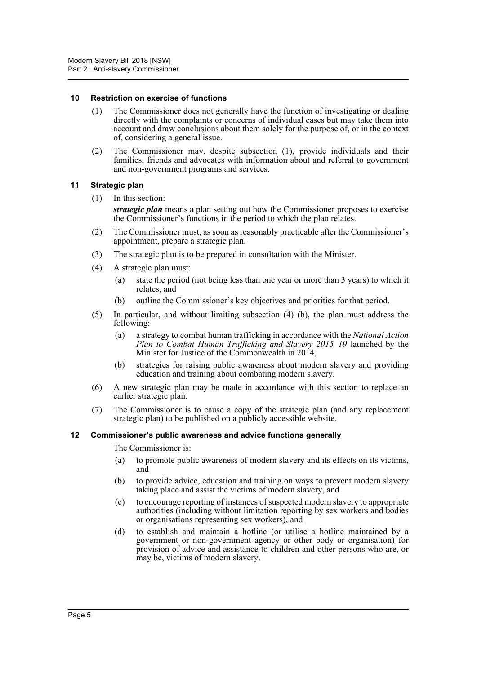#### <span id="page-6-0"></span>**10 Restriction on exercise of functions**

- (1) The Commissioner does not generally have the function of investigating or dealing directly with the complaints or concerns of individual cases but may take them into account and draw conclusions about them solely for the purpose of, or in the context of, considering a general issue.
- (2) The Commissioner may, despite subsection (1), provide individuals and their families, friends and advocates with information about and referral to government and non-government programs and services.

#### <span id="page-6-1"></span>**11 Strategic plan**

(1) In this section:

*strategic plan* means a plan setting out how the Commissioner proposes to exercise the Commissioner's functions in the period to which the plan relates.

- (2) The Commissioner must, as soon as reasonably practicable after the Commissioner's appointment, prepare a strategic plan.
- (3) The strategic plan is to be prepared in consultation with the Minister.
- (4) A strategic plan must:
	- (a) state the period (not being less than one year or more than 3 years) to which it relates, and
	- (b) outline the Commissioner's key objectives and priorities for that period.
- (5) In particular, and without limiting subsection (4) (b), the plan must address the following:
	- (a) a strategy to combat human trafficking in accordance with the *National Action Plan to Combat Human Trafficking and Slavery 2015–19* launched by the Minister for Justice of the Commonwealth in 2014,
	- (b) strategies for raising public awareness about modern slavery and providing education and training about combating modern slavery.
- (6) A new strategic plan may be made in accordance with this section to replace an earlier strategic plan.
- (7) The Commissioner is to cause a copy of the strategic plan (and any replacement strategic plan) to be published on a publicly accessible website.

#### <span id="page-6-2"></span>**12 Commissioner's public awareness and advice functions generally**

The Commissioner is:

- (a) to promote public awareness of modern slavery and its effects on its victims, and
- (b) to provide advice, education and training on ways to prevent modern slavery taking place and assist the victims of modern slavery, and
- (c) to encourage reporting of instances of suspected modern slavery to appropriate authorities (including without limitation reporting by sex workers and bodies or organisations representing sex workers), and
- (d) to establish and maintain a hotline (or utilise a hotline maintained by a government or non-government agency or other body or organisation) for provision of advice and assistance to children and other persons who are, or may be, victims of modern slavery.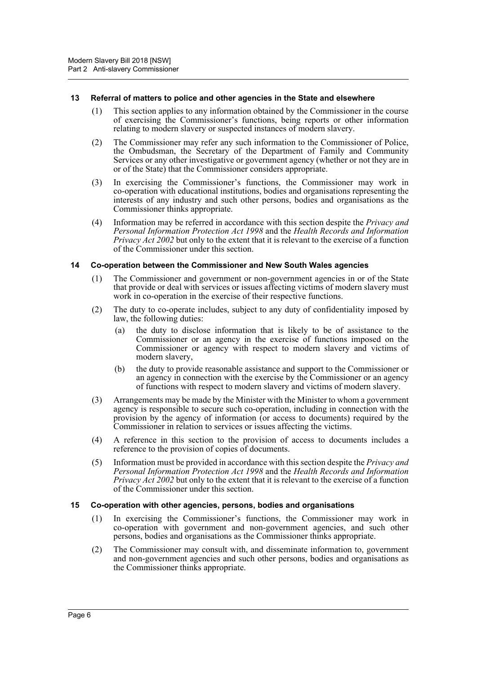#### <span id="page-7-0"></span>**13 Referral of matters to police and other agencies in the State and elsewhere**

- (1) This section applies to any information obtained by the Commissioner in the course of exercising the Commissioner's functions, being reports or other information relating to modern slavery or suspected instances of modern slavery.
- (2) The Commissioner may refer any such information to the Commissioner of Police, the Ombudsman, the Secretary of the Department of Family and Community Services or any other investigative or government agency (whether or not they are in or of the State) that the Commissioner considers appropriate.
- (3) In exercising the Commissioner's functions, the Commissioner may work in co-operation with educational institutions, bodies and organisations representing the interests of any industry and such other persons, bodies and organisations as the Commissioner thinks appropriate.
- (4) Information may be referred in accordance with this section despite the *Privacy and Personal Information Protection Act 1998* and the *Health Records and Information Privacy Act 2002* but only to the extent that it is relevant to the exercise of a function of the Commissioner under this section.

#### <span id="page-7-1"></span>**14 Co-operation between the Commissioner and New South Wales agencies**

- (1) The Commissioner and government or non-government agencies in or of the State that provide or deal with services or issues affecting victims of modern slavery must work in co-operation in the exercise of their respective functions.
- (2) The duty to co-operate includes, subject to any duty of confidentiality imposed by law, the following duties:
	- (a) the duty to disclose information that is likely to be of assistance to the Commissioner or an agency in the exercise of functions imposed on the Commissioner or agency with respect to modern slavery and victims of modern slavery,
	- (b) the duty to provide reasonable assistance and support to the Commissioner or an agency in connection with the exercise by the Commissioner or an agency of functions with respect to modern slavery and victims of modern slavery.
- (3) Arrangements may be made by the Minister with the Minister to whom a government agency is responsible to secure such co-operation, including in connection with the provision by the agency of information (or access to documents) required by the Commissioner in relation to services or issues affecting the victims.
- (4) A reference in this section to the provision of access to documents includes a reference to the provision of copies of documents.
- (5) Information must be provided in accordance with this section despite the *Privacy and Personal Information Protection Act 1998* and the *Health Records and Information Privacy Act 2002* but only to the extent that it is relevant to the exercise of a function of the Commissioner under this section.

#### <span id="page-7-2"></span>**15 Co-operation with other agencies, persons, bodies and organisations**

- (1) In exercising the Commissioner's functions, the Commissioner may work in co-operation with government and non-government agencies, and such other persons, bodies and organisations as the Commissioner thinks appropriate.
- (2) The Commissioner may consult with, and disseminate information to, government and non-government agencies and such other persons, bodies and organisations as the Commissioner thinks appropriate.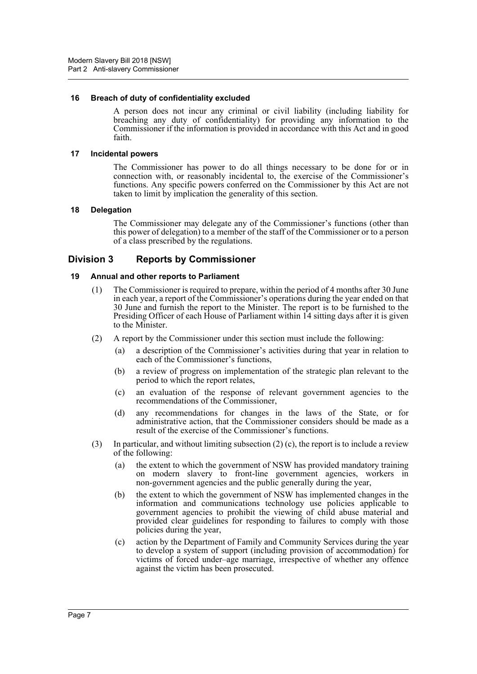#### <span id="page-8-0"></span>**16 Breach of duty of confidentiality excluded**

A person does not incur any criminal or civil liability (including liability for breaching any duty of confidentiality) for providing any information to the Commissioner if the information is provided in accordance with this Act and in good faith.

#### <span id="page-8-1"></span>**17 Incidental powers**

The Commissioner has power to do all things necessary to be done for or in connection with, or reasonably incidental to, the exercise of the Commissioner's functions. Any specific powers conferred on the Commissioner by this Act are not taken to limit by implication the generality of this section.

#### <span id="page-8-2"></span>**18 Delegation**

The Commissioner may delegate any of the Commissioner's functions (other than this power of delegation) to a member of the staff of the Commissioner or to a person of a class prescribed by the regulations.

### <span id="page-8-3"></span>**Division 3 Reports by Commissioner**

#### <span id="page-8-4"></span>**19 Annual and other reports to Parliament**

- (1) The Commissioner is required to prepare, within the period of 4 months after 30 June in each year, a report of the Commissioner's operations during the year ended on that 30 June and furnish the report to the Minister. The report is to be furnished to the Presiding Officer of each House of Parliament within 14 sitting days after it is given to the Minister.
- (2) A report by the Commissioner under this section must include the following:
	- (a) a description of the Commissioner's activities during that year in relation to each of the Commissioner's functions,
	- (b) a review of progress on implementation of the strategic plan relevant to the period to which the report relates,
	- (c) an evaluation of the response of relevant government agencies to the recommendations of the Commissioner,
	- (d) any recommendations for changes in the laws of the State, or for administrative action, that the Commissioner considers should be made as a result of the exercise of the Commissioner's functions.
- (3) In particular, and without limiting subsection  $(2)$  (c), the report is to include a review of the following:
	- (a) the extent to which the government of NSW has provided mandatory training on modern slavery to front-line government agencies, workers in non-government agencies and the public generally during the year,
	- (b) the extent to which the government of NSW has implemented changes in the information and communications technology use policies applicable to government agencies to prohibit the viewing of child abuse material and provided clear guidelines for responding to failures to comply with those policies during the year,
	- (c) action by the Department of Family and Community Services during the year to develop a system of support (including provision of accommodation) for victims of forced under–age marriage, irrespective of whether any offence against the victim has been prosecuted.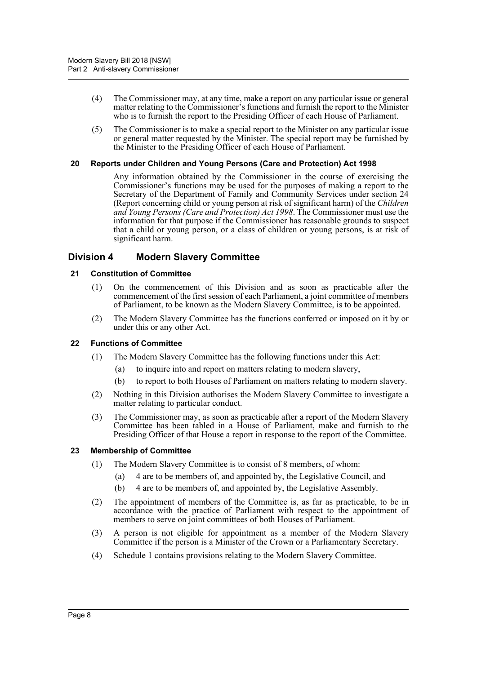- (4) The Commissioner may, at any time, make a report on any particular issue or general matter relating to the Commissioner's functions and furnish the report to the Minister who is to furnish the report to the Presiding Officer of each House of Parliament.
- (5) The Commissioner is to make a special report to the Minister on any particular issue or general matter requested by the Minister. The special report may be furnished by the Minister to the Presiding Officer of each House of Parliament.

#### <span id="page-9-0"></span>**20 Reports under Children and Young Persons (Care and Protection) Act 1998**

Any information obtained by the Commissioner in the course of exercising the Commissioner's functions may be used for the purposes of making a report to the Secretary of the Department of Family and Community Services under section 24 (Report concerning child or young person at risk of significant harm) of the *Children and Young Persons (Care and Protection) Act 1998*. The Commissioner must use the information for that purpose if the Commissioner has reasonable grounds to suspect that a child or young person, or a class of children or young persons, is at risk of significant harm.

### <span id="page-9-1"></span>**Division 4 Modern Slavery Committee**

#### <span id="page-9-2"></span>**21 Constitution of Committee**

- (1) On the commencement of this Division and as soon as practicable after the commencement of the first session of each Parliament, a joint committee of members of Parliament, to be known as the Modern Slavery Committee, is to be appointed.
- (2) The Modern Slavery Committee has the functions conferred or imposed on it by or under this or any other Act.

#### <span id="page-9-3"></span>**22 Functions of Committee**

- (1) The Modern Slavery Committee has the following functions under this Act:
	- (a) to inquire into and report on matters relating to modern slavery,
	- (b) to report to both Houses of Parliament on matters relating to modern slavery.
- (2) Nothing in this Division authorises the Modern Slavery Committee to investigate a matter relating to particular conduct.
- (3) The Commissioner may, as soon as practicable after a report of the Modern Slavery Committee has been tabled in a House of Parliament, make and furnish to the Presiding Officer of that House a report in response to the report of the Committee.

#### <span id="page-9-4"></span>**23 Membership of Committee**

- (1) The Modern Slavery Committee is to consist of 8 members, of whom:
	- (a) 4 are to be members of, and appointed by, the Legislative Council, and
	- (b) 4 are to be members of, and appointed by, the Legislative Assembly.
- (2) The appointment of members of the Committee is, as far as practicable, to be in accordance with the practice of Parliament with respect to the appointment of members to serve on joint committees of both Houses of Parliament.
- (3) A person is not eligible for appointment as a member of the Modern Slavery Committee if the person is a Minister of the Crown or a Parliamentary Secretary.
- (4) Schedule 1 contains provisions relating to the Modern Slavery Committee.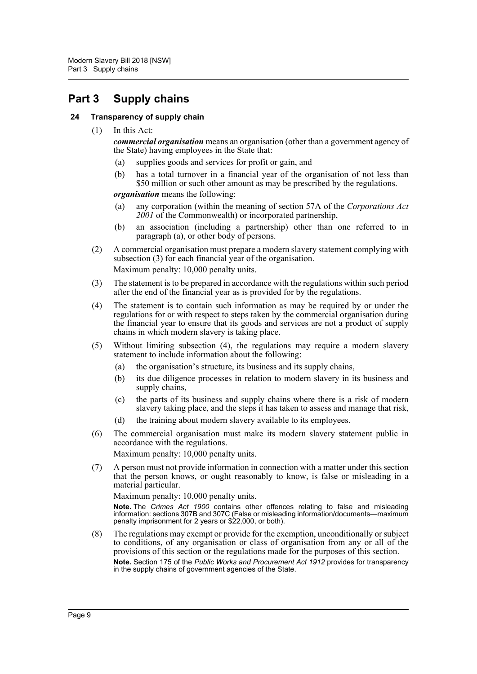# <span id="page-10-0"></span>**Part 3 Supply chains**

#### <span id="page-10-1"></span>**24 Transparency of supply chain**

(1) In this Act:

*commercial organisation* means an organisation (other than a government agency of the State) having employees in the State that:

- (a) supplies goods and services for profit or gain, and
- (b) has a total turnover in a financial year of the organisation of not less than \$50 million or such other amount as may be prescribed by the regulations.

*organisation* means the following:

- (a) any corporation (within the meaning of section 57A of the *Corporations Act 2001* of the Commonwealth) or incorporated partnership,
- (b) an association (including a partnership) other than one referred to in paragraph (a), or other body of persons.
- (2) A commercial organisation must prepare a modern slavery statement complying with subsection (3) for each financial year of the organisation. Maximum penalty: 10,000 penalty units.
- (3) The statement is to be prepared in accordance with the regulations within such period after the end of the financial year as is provided for by the regulations.
- (4) The statement is to contain such information as may be required by or under the regulations for or with respect to steps taken by the commercial organisation during the financial year to ensure that its goods and services are not a product of supply chains in which modern slavery is taking place.
- (5) Without limiting subsection (4), the regulations may require a modern slavery statement to include information about the following:
	- (a) the organisation's structure, its business and its supply chains,
	- (b) its due diligence processes in relation to modern slavery in its business and supply chains,
	- (c) the parts of its business and supply chains where there is a risk of modern slavery taking place, and the steps it has taken to assess and manage that risk,
	- (d) the training about modern slavery available to its employees.
- (6) The commercial organisation must make its modern slavery statement public in accordance with the regulations.

Maximum penalty: 10,000 penalty units.

(7) A person must not provide information in connection with a matter under this section that the person knows, or ought reasonably to know, is false or misleading in a material particular.

Maximum penalty: 10,000 penalty units.

**Note.** The *Crimes Act 1900* contains other offences relating to false and misleading information: sections 307B and 307C (False or misleading information/documents—maximum penalty imprisonment for 2 years or \$22,000, or both).

(8) The regulations may exempt or provide for the exemption, unconditionally or subject to conditions, of any organisation or class of organisation from any or all of the provisions of this section or the regulations made for the purposes of this section. **Note.** Section 175 of the *Public Works and Procurement Act 1912* provides for transparency in the supply chains of government agencies of the State.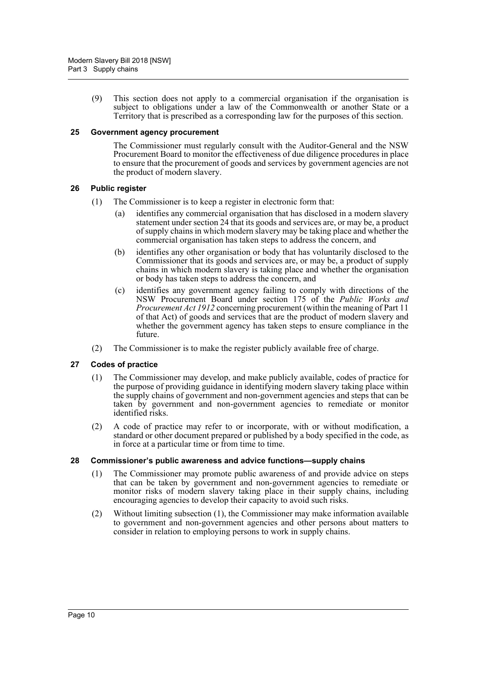(9) This section does not apply to a commercial organisation if the organisation is subject to obligations under a law of the Commonwealth or another State or a Territory that is prescribed as a corresponding law for the purposes of this section.

#### <span id="page-11-0"></span>**25 Government agency procurement**

The Commissioner must regularly consult with the Auditor-General and the NSW Procurement Board to monitor the effectiveness of due diligence procedures in place to ensure that the procurement of goods and services by government agencies are not the product of modern slavery.

#### <span id="page-11-1"></span>**26 Public register**

- (1) The Commissioner is to keep a register in electronic form that:
	- (a) identifies any commercial organisation that has disclosed in a modern slavery statement under section 24 that its goods and services are, or may be, a product of supply chains in which modern slavery may be taking place and whether the commercial organisation has taken steps to address the concern, and
	- (b) identifies any other organisation or body that has voluntarily disclosed to the Commissioner that its goods and services are, or may be, a product of supply chains in which modern slavery is taking place and whether the organisation or body has taken steps to address the concern, and
	- (c) identifies any government agency failing to comply with directions of the NSW Procurement Board under section 175 of the *Public Works and Procurement Act 1912* concerning procurement (within the meaning of Part 11 of that Act) of goods and services that are the product of modern slavery and whether the government agency has taken steps to ensure compliance in the future.
- (2) The Commissioner is to make the register publicly available free of charge.

#### <span id="page-11-2"></span>**27 Codes of practice**

- (1) The Commissioner may develop, and make publicly available, codes of practice for the purpose of providing guidance in identifying modern slavery taking place within the supply chains of government and non-government agencies and steps that can be taken by government and non-government agencies to remediate or monitor identified risks.
- (2) A code of practice may refer to or incorporate, with or without modification, a standard or other document prepared or published by a body specified in the code, as in force at a particular time or from time to time.

#### <span id="page-11-3"></span>**28 Commissioner's public awareness and advice functions—supply chains**

- (1) The Commissioner may promote public awareness of and provide advice on steps that can be taken by government and non-government agencies to remediate or monitor risks of modern slavery taking place in their supply chains, including encouraging agencies to develop their capacity to avoid such risks.
- (2) Without limiting subsection (1), the Commissioner may make information available to government and non-government agencies and other persons about matters to consider in relation to employing persons to work in supply chains.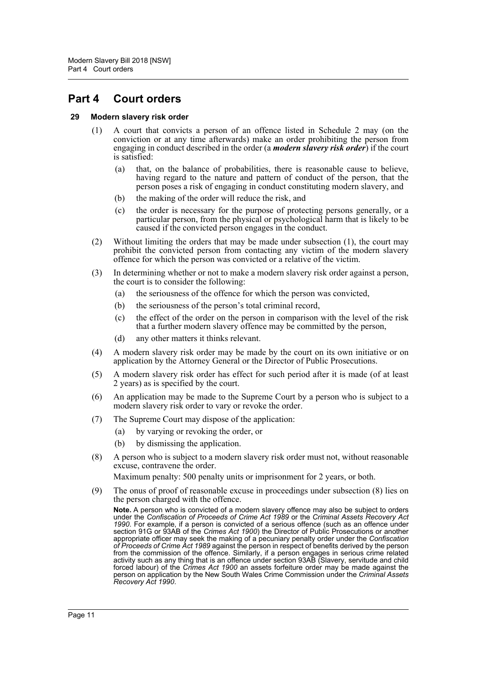# <span id="page-12-0"></span>**Part 4 Court orders**

#### <span id="page-12-1"></span>**29 Modern slavery risk order**

- (1) A court that convicts a person of an offence listed in Schedule 2 may (on the conviction or at any time afterwards) make an order prohibiting the person from engaging in conduct described in the order (a *modern slavery risk order*) if the court is satisfied:
	- (a) that, on the balance of probabilities, there is reasonable cause to believe, having regard to the nature and pattern of conduct of the person, that the person poses a risk of engaging in conduct constituting modern slavery, and
	- (b) the making of the order will reduce the risk, and
	- (c) the order is necessary for the purpose of protecting persons generally, or a particular person, from the physical or psychological harm that is likely to be caused if the convicted person engages in the conduct.
- (2) Without limiting the orders that may be made under subsection (1), the court may prohibit the convicted person from contacting any victim of the modern slavery offence for which the person was convicted or a relative of the victim.
- (3) In determining whether or not to make a modern slavery risk order against a person, the court is to consider the following:
	- (a) the seriousness of the offence for which the person was convicted,
	- (b) the seriousness of the person's total criminal record,
	- (c) the effect of the order on the person in comparison with the level of the risk that a further modern slavery offence may be committed by the person,
	- (d) any other matters it thinks relevant.
- (4) A modern slavery risk order may be made by the court on its own initiative or on application by the Attorney General or the Director of Public Prosecutions.
- (5) A modern slavery risk order has effect for such period after it is made (of at least 2 years) as is specified by the court.
- (6) An application may be made to the Supreme Court by a person who is subject to a modern slavery risk order to vary or revoke the order.
- (7) The Supreme Court may dispose of the application:
	- (a) by varying or revoking the order, or
	- (b) by dismissing the application.
- (8) A person who is subject to a modern slavery risk order must not, without reasonable excuse, contravene the order.

Maximum penalty: 500 penalty units or imprisonment for 2 years, or both.

(9) The onus of proof of reasonable excuse in proceedings under subsection (8) lies on the person charged with the offence.

**Note.** A person who is convicted of a modern slavery offence may also be subject to orders under the *Confiscation of Proceeds of Crime Act 1989* or the *Criminal Assets Recovery Act 1990*. For example, if a person is convicted of a serious offence (such as an offence under section 91G or 93AB of the *Crimes Act 1900*) the Director of Public Prosecutions or another appropriate officer may seek the making of a pecuniary penalty order under the *Confiscation of Proceeds of Crime Act 1989* against the person in respect of benefits derived by the person from the commission of the offence. Similarly, if a person engages in serious crime related activity such as any thing that is an offence under section 93AB (Slavery, servitude and child forced labour) of the *Crimes Act 1900* an assets forfeiture order may be made against the person on application by the New South Wales Crime Commission under the *Criminal Assets Recovery Act 1990*.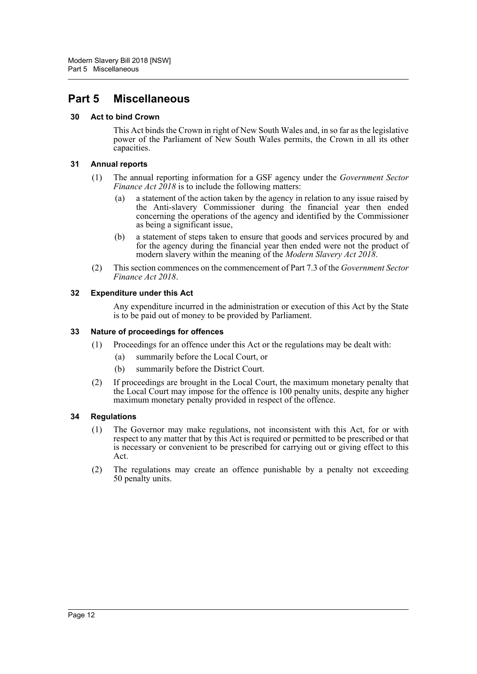# <span id="page-13-0"></span>**Part 5 Miscellaneous**

#### <span id="page-13-1"></span>**30 Act to bind Crown**

This Act binds the Crown in right of New South Wales and, in so far as the legislative power of the Parliament of New South Wales permits, the Crown in all its other capacities.

#### <span id="page-13-2"></span>**31 Annual reports**

- (1) The annual reporting information for a GSF agency under the *Government Sector Finance Act 2018* is to include the following matters:
	- (a) a statement of the action taken by the agency in relation to any issue raised by the Anti-slavery Commissioner during the financial year then ended concerning the operations of the agency and identified by the Commissioner as being a significant issue,
	- (b) a statement of steps taken to ensure that goods and services procured by and for the agency during the financial year then ended were not the product of modern slavery within the meaning of the *Modern Slavery Act 2018*.
- (2) This section commences on the commencement of Part 7.3 of the *Government Sector Finance Act 2018*.

#### <span id="page-13-3"></span>**32 Expenditure under this Act**

Any expenditure incurred in the administration or execution of this Act by the State is to be paid out of money to be provided by Parliament.

#### <span id="page-13-4"></span>**33 Nature of proceedings for offences**

- (1) Proceedings for an offence under this Act or the regulations may be dealt with:
	- (a) summarily before the Local Court, or
	- (b) summarily before the District Court.
- (2) If proceedings are brought in the Local Court, the maximum monetary penalty that the Local Court may impose for the offence is 100 penalty units, despite any higher maximum monetary penalty provided in respect of the offence.

#### <span id="page-13-5"></span>**34 Regulations**

- (1) The Governor may make regulations, not inconsistent with this Act, for or with respect to any matter that by this Act is required or permitted to be prescribed or that is necessary or convenient to be prescribed for carrying out or giving effect to this Act.
- (2) The regulations may create an offence punishable by a penalty not exceeding 50 penalty units.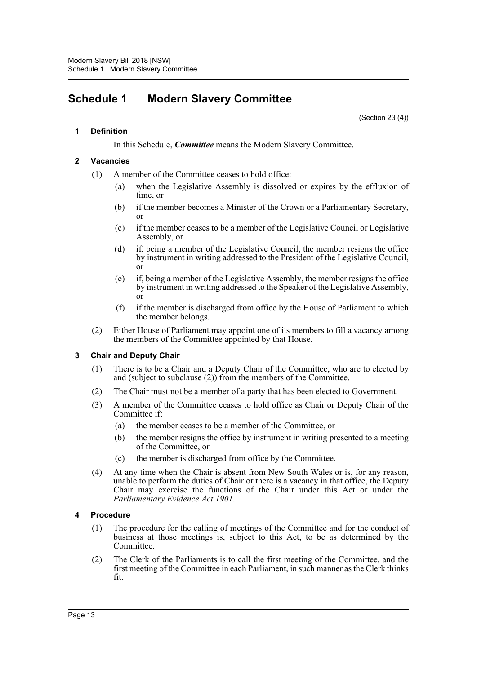# <span id="page-14-0"></span>**Schedule 1 Modern Slavery Committee**

(Section 23 (4))

#### **1 Definition**

In this Schedule, *Committee* means the Modern Slavery Committee.

#### **2 Vacancies**

- (1) A member of the Committee ceases to hold office:
	- (a) when the Legislative Assembly is dissolved or expires by the effluxion of time, or
	- (b) if the member becomes a Minister of the Crown or a Parliamentary Secretary, or
	- (c) if the member ceases to be a member of the Legislative Council or Legislative Assembly, or
	- (d) if, being a member of the Legislative Council, the member resigns the office by instrument in writing addressed to the President of the Legislative Council, or
	- (e) if, being a member of the Legislative Assembly, the member resigns the office by instrument in writing addressed to the Speaker of the Legislative Assembly, or
	- (f) if the member is discharged from office by the House of Parliament to which the member belongs.
- (2) Either House of Parliament may appoint one of its members to fill a vacancy among the members of the Committee appointed by that House.

#### **3 Chair and Deputy Chair**

- (1) There is to be a Chair and a Deputy Chair of the Committee, who are to elected by and (subject to subclause (2)) from the members of the Committee.
- (2) The Chair must not be a member of a party that has been elected to Government.
- (3) A member of the Committee ceases to hold office as Chair or Deputy Chair of the Committee if:
	- (a) the member ceases to be a member of the Committee, or
	- (b) the member resigns the office by instrument in writing presented to a meeting of the Committee, or
	- (c) the member is discharged from office by the Committee.
- (4) At any time when the Chair is absent from New South Wales or is, for any reason, unable to perform the duties of Chair or there is a vacancy in that office, the Deputy Chair may exercise the functions of the Chair under this Act or under the *Parliamentary Evidence Act 1901*.

#### **4 Procedure**

- (1) The procedure for the calling of meetings of the Committee and for the conduct of business at those meetings is, subject to this Act, to be as determined by the Committee.
- (2) The Clerk of the Parliaments is to call the first meeting of the Committee, and the first meeting of the Committee in each Parliament, in such manner as the Clerk thinks fit.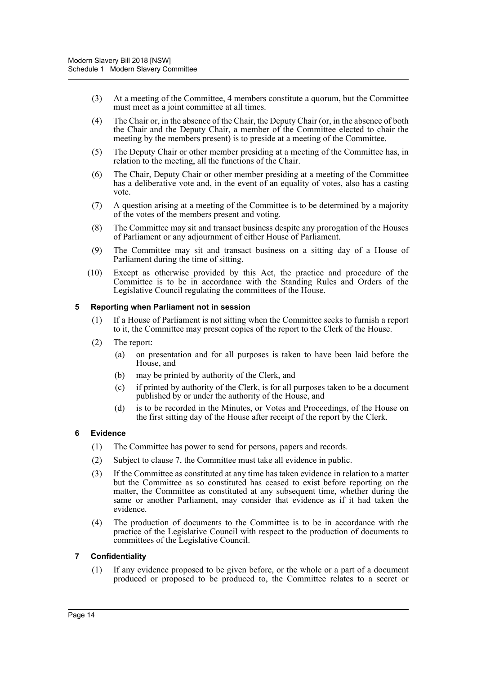- (3) At a meeting of the Committee, 4 members constitute a quorum, but the Committee must meet as a joint committee at all times.
- (4) The Chair or, in the absence of the Chair, the Deputy Chair (or, in the absence of both the Chair and the Deputy Chair, a member of the Committee elected to chair the meeting by the members present) is to preside at a meeting of the Committee.
- (5) The Deputy Chair or other member presiding at a meeting of the Committee has, in relation to the meeting, all the functions of the Chair.
- (6) The Chair, Deputy Chair or other member presiding at a meeting of the Committee has a deliberative vote and, in the event of an equality of votes, also has a casting vote.
- (7) A question arising at a meeting of the Committee is to be determined by a majority of the votes of the members present and voting.
- (8) The Committee may sit and transact business despite any prorogation of the Houses of Parliament or any adjournment of either House of Parliament.
- (9) The Committee may sit and transact business on a sitting day of a House of Parliament during the time of sitting.
- (10) Except as otherwise provided by this Act, the practice and procedure of the Committee is to be in accordance with the Standing Rules and Orders of the Legislative Council regulating the committees of the House.

#### **5 Reporting when Parliament not in session**

- (1) If a House of Parliament is not sitting when the Committee seeks to furnish a report to it, the Committee may present copies of the report to the Clerk of the House.
- (2) The report:
	- (a) on presentation and for all purposes is taken to have been laid before the House, and
	- (b) may be printed by authority of the Clerk, and
	- (c) if printed by authority of the Clerk, is for all purposes taken to be a document published by or under the authority of the House, and
	- (d) is to be recorded in the Minutes, or Votes and Proceedings, of the House on the first sitting day of the House after receipt of the report by the Clerk.

#### **6 Evidence**

- (1) The Committee has power to send for persons, papers and records.
- (2) Subject to clause 7, the Committee must take all evidence in public.
- (3) If the Committee as constituted at any time has taken evidence in relation to a matter but the Committee as so constituted has ceased to exist before reporting on the matter, the Committee as constituted at any subsequent time, whether during the same or another Parliament, may consider that evidence as if it had taken the evidence.
- (4) The production of documents to the Committee is to be in accordance with the practice of the Legislative Council with respect to the production of documents to committees of the Legislative Council.

#### **7 Confidentiality**

(1) If any evidence proposed to be given before, or the whole or a part of a document produced or proposed to be produced to, the Committee relates to a secret or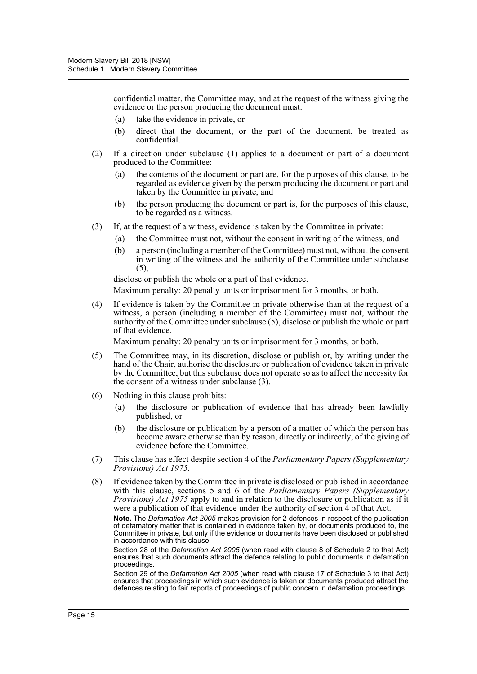confidential matter, the Committee may, and at the request of the witness giving the evidence or the person producing the document must:

- (a) take the evidence in private, or
- (b) direct that the document, or the part of the document, be treated as confidential.
- (2) If a direction under subclause (1) applies to a document or part of a document produced to the Committee:
	- (a) the contents of the document or part are, for the purposes of this clause, to be regarded as evidence given by the person producing the document or part and taken by the Committee in private, and
	- (b) the person producing the document or part is, for the purposes of this clause, to be regarded as a witness.
- (3) If, at the request of a witness, evidence is taken by the Committee in private:
	- (a) the Committee must not, without the consent in writing of the witness, and
	- (b) a person (including a member of the Committee) must not, without the consent in writing of the witness and the authority of the Committee under subclause  $(5)$ ,

disclose or publish the whole or a part of that evidence.

Maximum penalty: 20 penalty units or imprisonment for 3 months, or both.

(4) If evidence is taken by the Committee in private otherwise than at the request of a witness, a person (including a member of the Committee) must not, without the authority of the Committee under subclause (5), disclose or publish the whole or part of that evidence.

Maximum penalty: 20 penalty units or imprisonment for 3 months, or both.

- (5) The Committee may, in its discretion, disclose or publish or, by writing under the hand of the Chair, authorise the disclosure or publication of evidence taken in private by the Committee, but this subclause does not operate so as to affect the necessity for the consent of a witness under subclause (3).
- (6) Nothing in this clause prohibits:
	- (a) the disclosure or publication of evidence that has already been lawfully published, or
	- (b) the disclosure or publication by a person of a matter of which the person has become aware otherwise than by reason, directly or indirectly, of the giving of evidence before the Committee.
- (7) This clause has effect despite section 4 of the *Parliamentary Papers (Supplementary Provisions) Act 1975*.
- (8) If evidence taken by the Committee in private is disclosed or published in accordance with this clause, sections 5 and 6 of the *Parliamentary Papers (Supplementary Provisions) Act 1975* apply to and in relation to the disclosure or publication as if it were a publication of that evidence under the authority of section 4 of that Act.

**Note.** The *Defamation Act 2005* makes provision for 2 defences in respect of the publication of defamatory matter that is contained in evidence taken by, or documents produced to, the Committee in private, but only if the evidence or documents have been disclosed or published in accordance with this clause.

Section 28 of the *Defamation Act 2005* (when read with clause 8 of Schedule 2 to that Act) ensures that such documents attract the defence relating to public documents in defamation proceedings.

Section 29 of the *Defamation Act 2005* (when read with clause 17 of Schedule 3 to that Act) ensures that proceedings in which such evidence is taken or documents produced attract the defences relating to fair reports of proceedings of public concern in defamation proceedings.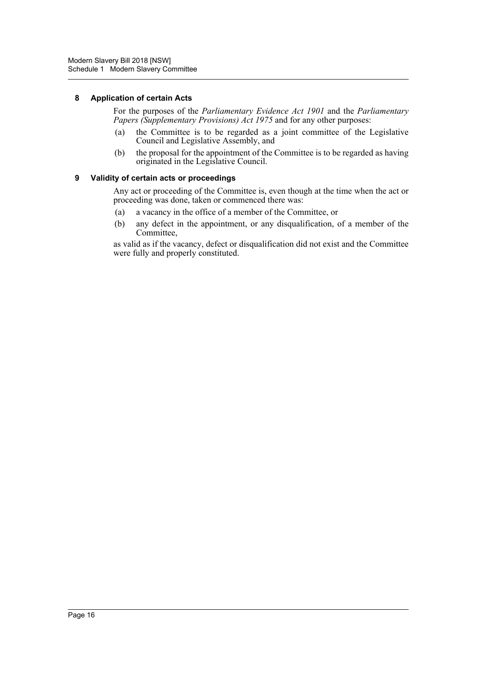#### **8 Application of certain Acts**

For the purposes of the *Parliamentary Evidence Act 1901* and the *Parliamentary Papers (Supplementary Provisions) Act 1975* and for any other purposes:

- (a) the Committee is to be regarded as a joint committee of the Legislative Council and Legislative Assembly, and
- (b) the proposal for the appointment of the Committee is to be regarded as having originated in the Legislative Council.

#### **9 Validity of certain acts or proceedings**

Any act or proceeding of the Committee is, even though at the time when the act or proceeding was done, taken or commenced there was:

- (a) a vacancy in the office of a member of the Committee, or
- (b) any defect in the appointment, or any disqualification, of a member of the Committee,

as valid as if the vacancy, defect or disqualification did not exist and the Committee were fully and properly constituted.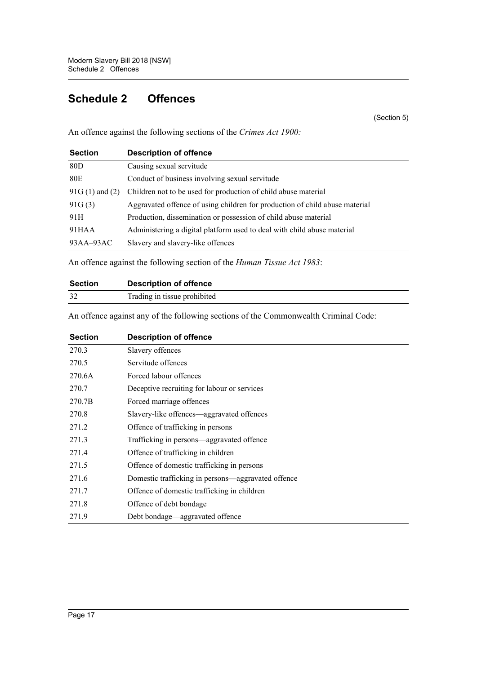# <span id="page-18-0"></span>**Schedule 2 Offences**

(Section 5)

An offence against the following sections of the *Crimes Act 1900:*

| <b>Section</b>     | <b>Description of offence</b>                                               |
|--------------------|-----------------------------------------------------------------------------|
| 80D                | Causing sexual servitude                                                    |
| 80E                | Conduct of business involving sexual servitude                              |
| $91G(1)$ and $(2)$ | Children not to be used for production of child abuse material              |
| 91G(3)             | Aggravated offence of using children for production of child abuse material |
| 91H                | Production, dissemination or possession of child abuse material             |
| 91HAA              | Administering a digital platform used to deal with child abuse material     |
| $93AA-93AC$        | Slavery and slavery-like offences                                           |

An offence against the following section of the *Human Tissue Act 1983*:

| <b>Section</b> | <b>Description of offence</b> |
|----------------|-------------------------------|
|                | Trading in tissue prohibited  |

An offence against any of the following sections of the Commonwealth Criminal Code:

| <b>Section</b> | <b>Description of offence</b>                      |
|----------------|----------------------------------------------------|
| 270.3          | Slavery offences                                   |
| 270.5          | Servitude offences                                 |
| 270.6A         | Forced labour offences                             |
| 270.7          | Deceptive recruiting for labour or services        |
| 270.7B         | Forced marriage offences                           |
| 270.8          | Slavery-like offences—aggravated offences          |
| 271.2          | Offence of trafficking in persons                  |
| 271.3          | Trafficking in persons—aggravated offence          |
| 271.4          | Offence of trafficking in children                 |
| 271.5          | Offence of domestic trafficking in persons         |
| 271.6          | Domestic trafficking in persons—aggravated offence |
| 271.7          | Offence of domestic trafficking in children        |
| 271.8          | Offence of debt bondage                            |
| 271.9          | Debt bondage—aggravated offence                    |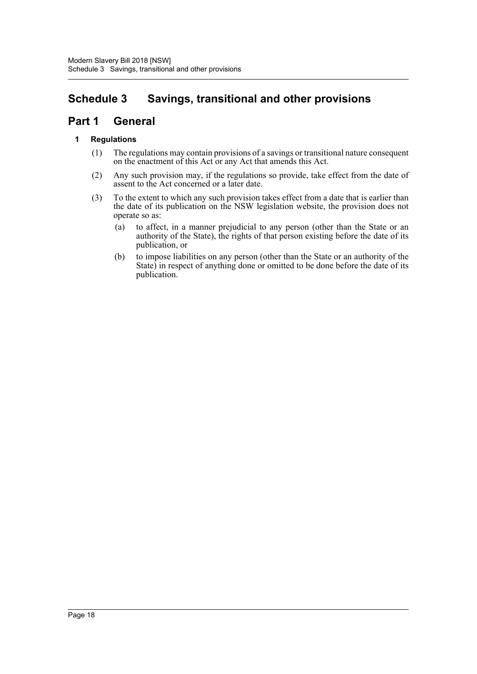# <span id="page-19-0"></span>**Schedule 3 Savings, transitional and other provisions**

# **Part 1 General**

### **1 Regulations**

- (1) The regulations may contain provisions of a savings or transitional nature consequent on the enactment of this Act or any Act that amends this Act.
- (2) Any such provision may, if the regulations so provide, take effect from the date of assent to the Act concerned or a later date.
- (3) To the extent to which any such provision takes effect from a date that is earlier than the date of its publication on the NSW legislation website, the provision does not operate so as:
	- (a) to affect, in a manner prejudicial to any person (other than the State or an authority of the State), the rights of that person existing before the date of its publication, or
	- (b) to impose liabilities on any person (other than the State or an authority of the State) in respect of anything done or omitted to be done before the date of its publication.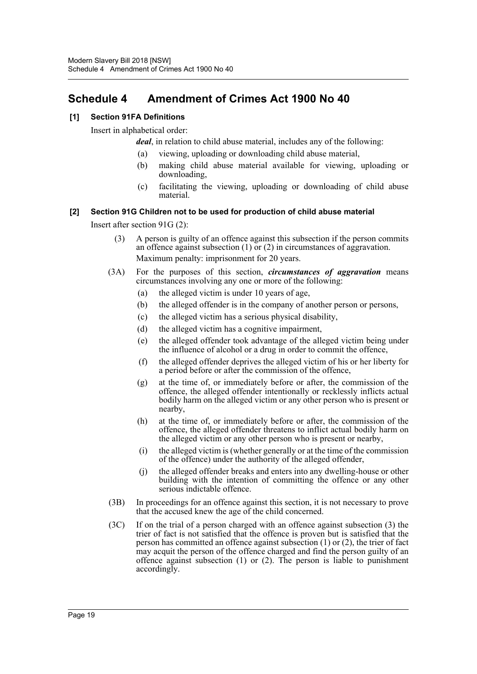# <span id="page-20-0"></span>**Schedule 4 Amendment of Crimes Act 1900 No 40**

### **[1] Section 91FA Definitions**

Insert in alphabetical order:

*deal*, in relation to child abuse material, includes any of the following:

- (a) viewing, uploading or downloading child abuse material,
- (b) making child abuse material available for viewing, uploading or downloading,
- (c) facilitating the viewing, uploading or downloading of child abuse material.

#### **[2] Section 91G Children not to be used for production of child abuse material**

Insert after section 91G (2):

- (3) A person is guilty of an offence against this subsection if the person commits an offence against subsection (1) or (2) in circumstances of aggravation. Maximum penalty: imprisonment for 20 years.
- (3A) For the purposes of this section, *circumstances of aggravation* means circumstances involving any one or more of the following:
	- (a) the alleged victim is under 10 years of age,
	- (b) the alleged offender is in the company of another person or persons,
	- (c) the alleged victim has a serious physical disability,
	- (d) the alleged victim has a cognitive impairment,
	- (e) the alleged offender took advantage of the alleged victim being under the influence of alcohol or a drug in order to commit the offence,
	- (f) the alleged offender deprives the alleged victim of his or her liberty for a period before or after the commission of the offence,
	- (g) at the time of, or immediately before or after, the commission of the offence, the alleged offender intentionally or recklessly inflicts actual bodily harm on the alleged victim or any other person who is present or nearby,
	- (h) at the time of, or immediately before or after, the commission of the offence, the alleged offender threatens to inflict actual bodily harm on the alleged victim or any other person who is present or nearby,
	- (i) the alleged victim is (whether generally or at the time of the commission of the offence) under the authority of the alleged offender,
	- (j) the alleged offender breaks and enters into any dwelling-house or other building with the intention of committing the offence or any other serious indictable offence.
- (3B) In proceedings for an offence against this section, it is not necessary to prove that the accused knew the age of the child concerned.
- (3C) If on the trial of a person charged with an offence against subsection (3) the trier of fact is not satisfied that the offence is proven but is satisfied that the person has committed an offence against subsection (1) or (2), the trier of fact may acquit the person of the offence charged and find the person guilty of an offence against subsection (1) or (2). The person is liable to punishment accordingly.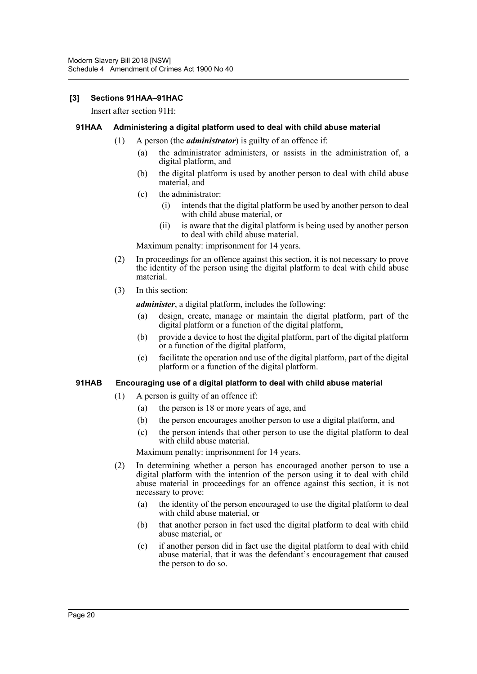#### **[3] Sections 91HAA–91HAC**

Insert after section 91H:

#### **91HAA Administering a digital platform used to deal with child abuse material**

- (1) A person (the *administrator*) is guilty of an offence if:
	- (a) the administrator administers, or assists in the administration of, a digital platform, and
	- (b) the digital platform is used by another person to deal with child abuse material, and
	- (c) the administrator:
		- (i) intends that the digital platform be used by another person to deal with child abuse material, or
		- (ii) is aware that the digital platform is being used by another person to deal with child abuse material.

Maximum penalty: imprisonment for 14 years.

- (2) In proceedings for an offence against this section, it is not necessary to prove the identity of the person using the digital platform to deal with child abuse material.
- (3) In this section:

*administer*, a digital platform, includes the following:

- (a) design, create, manage or maintain the digital platform, part of the digital platform or a function of the digital platform,
- (b) provide a device to host the digital platform, part of the digital platform or a function of the digital platform,
- (c) facilitate the operation and use of the digital platform, part of the digital platform or a function of the digital platform.

#### **91HAB Encouraging use of a digital platform to deal with child abuse material**

- (1) A person is guilty of an offence if:
	- (a) the person is 18 or more years of age, and
	- (b) the person encourages another person to use a digital platform, and
	- (c) the person intends that other person to use the digital platform to deal with child abuse material.

Maximum penalty: imprisonment for 14 years.

- (2) In determining whether a person has encouraged another person to use a digital platform with the intention of the person using it to deal with child abuse material in proceedings for an offence against this section, it is not necessary to prove:
	- (a) the identity of the person encouraged to use the digital platform to deal with child abuse material, or
	- (b) that another person in fact used the digital platform to deal with child abuse material, or
	- (c) if another person did in fact use the digital platform to deal with child abuse material, that it was the defendant's encouragement that caused the person to do so.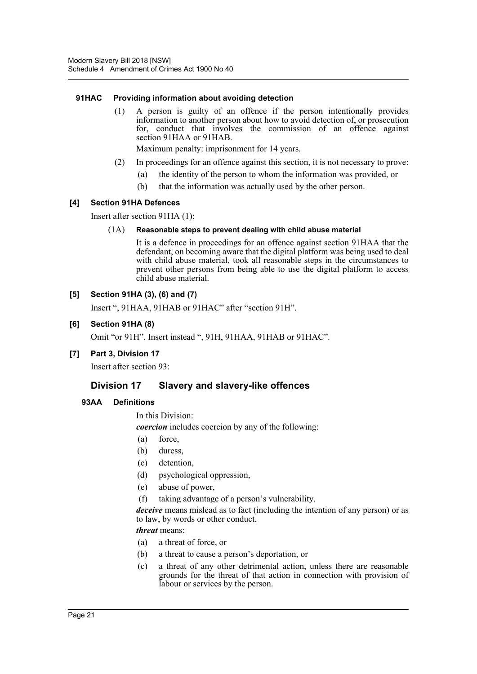#### **91HAC Providing information about avoiding detection**

(1) A person is guilty of an offence if the person intentionally provides information to another person about how to avoid detection of, or prosecution for, conduct that involves the commission of an offence against section 91HAA or 91HAB.

Maximum penalty: imprisonment for 14 years.

- (2) In proceedings for an offence against this section, it is not necessary to prove:
	- (a) the identity of the person to whom the information was provided, or
	- (b) that the information was actually used by the other person.

#### **[4] Section 91HA Defences**

Insert after section 91HA (1):

#### (1A) **Reasonable steps to prevent dealing with child abuse material**

It is a defence in proceedings for an offence against section 91HAA that the defendant, on becoming aware that the digital platform was being used to deal with child abuse material, took all reasonable steps in the circumstances to prevent other persons from being able to use the digital platform to access child abuse material.

#### **[5] Section 91HA (3), (6) and (7)**

Insert ", 91HAA, 91HAB or 91HAC" after "section 91H".

#### **[6] Section 91HA (8)**

Omit "or 91H". Insert instead ", 91H, 91HAA, 91HAB or 91HAC".

#### **[7] Part 3, Division 17**

Insert after section 93:

#### **Division 17 Slavery and slavery-like offences**

#### **93AA Definitions**

In this Division:

*coercion* includes coercion by any of the following:

- (a) force,
- (b) duress,
- (c) detention,
- (d) psychological oppression,
- (e) abuse of power,
- (f) taking advantage of a person's vulnerability.

*deceive* means mislead as to fact (including the intention of any person) or as to law, by words or other conduct.

*threat* means:

- (a) a threat of force, or
- (b) a threat to cause a person's deportation, or
- (c) a threat of any other detrimental action, unless there are reasonable grounds for the threat of that action in connection with provision of labour or services by the person.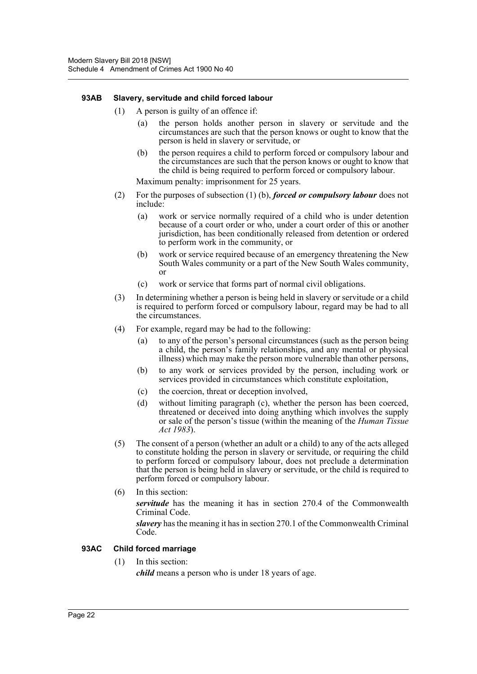#### **93AB Slavery, servitude and child forced labour**

- (1) A person is guilty of an offence if:
	- (a) the person holds another person in slavery or servitude and the circumstances are such that the person knows or ought to know that the person is held in slavery or servitude, or
	- (b) the person requires a child to perform forced or compulsory labour and the circumstances are such that the person knows or ought to know that the child is being required to perform forced or compulsory labour.

Maximum penalty: imprisonment for 25 years.

- (2) For the purposes of subsection (1) (b), *forced or compulsory labour* does not include:
	- (a) work or service normally required of a child who is under detention because of a court order or who, under a court order of this or another jurisdiction, has been conditionally released from detention or ordered to perform work in the community, or
	- (b) work or service required because of an emergency threatening the New South Wales community or a part of the New South Wales community, or
	- (c) work or service that forms part of normal civil obligations.
- (3) In determining whether a person is being held in slavery or servitude or a child is required to perform forced or compulsory labour, regard may be had to all the circumstances.
- (4) For example, regard may be had to the following:
	- (a) to any of the person's personal circumstances (such as the person being a child, the person's family relationships, and any mental or physical illness) which may make the person more vulnerable than other persons,
	- (b) to any work or services provided by the person, including work or services provided in circumstances which constitute exploitation,
	- (c) the coercion, threat or deception involved,
	- (d) without limiting paragraph (c), whether the person has been coerced, threatened or deceived into doing anything which involves the supply or sale of the person's tissue (within the meaning of the *Human Tissue Act 1983*).
- (5) The consent of a person (whether an adult or a child) to any of the acts alleged to constitute holding the person in slavery or servitude, or requiring the child to perform forced or compulsory labour, does not preclude a determination that the person is being held in slavery or servitude, or the child is required to perform forced or compulsory labour.
- (6) In this section:

*servitude* has the meaning it has in section 270.4 of the Commonwealth Criminal Code.

*slavery* has the meaning it has in section 270.1 of the Commonwealth Criminal Code.

#### **93AC Child forced marriage**

(1) In this section:

*child* means a person who is under 18 years of age.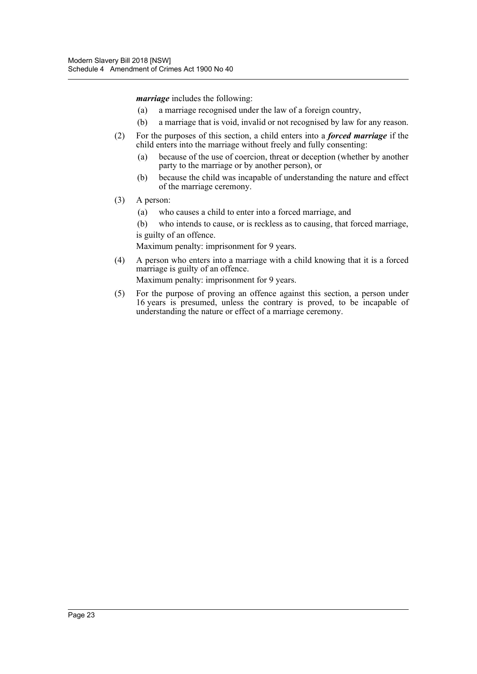*marriage* includes the following:

- (a) a marriage recognised under the law of a foreign country,
- (b) a marriage that is void, invalid or not recognised by law for any reason.
- (2) For the purposes of this section, a child enters into a *forced marriage* if the child enters into the marriage without freely and fully consenting:
	- (a) because of the use of coercion, threat or deception (whether by another party to the marriage or by another person), or
	- (b) because the child was incapable of understanding the nature and effect of the marriage ceremony.
- (3) A person:
	- (a) who causes a child to enter into a forced marriage, and
	- (b) who intends to cause, or is reckless as to causing, that forced marriage, is guilty of an offence.

Maximum penalty: imprisonment for 9 years.

(4) A person who enters into a marriage with a child knowing that it is a forced marriage is guilty of an offence.

Maximum penalty: imprisonment for 9 years.

(5) For the purpose of proving an offence against this section, a person under 16 years is presumed, unless the contrary is proved, to be incapable of understanding the nature or effect of a marriage ceremony.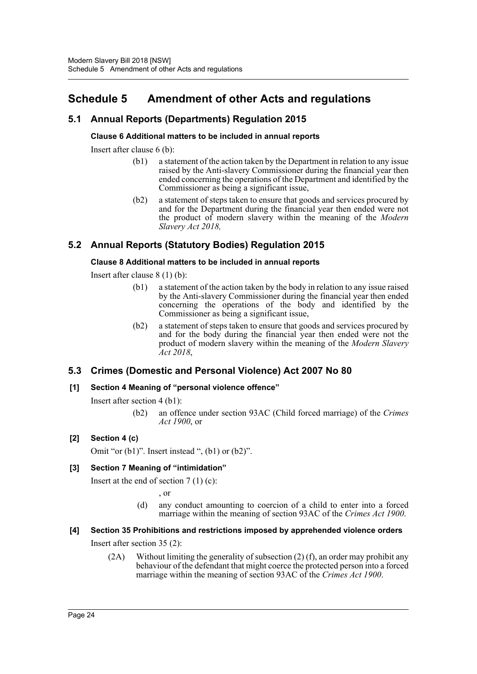# <span id="page-25-0"></span>**Schedule 5 Amendment of other Acts and regulations**

# **5.1 Annual Reports (Departments) Regulation 2015**

### **Clause 6 Additional matters to be included in annual reports**

Insert after clause 6 (b):

- (b1) a statement of the action taken by the Department in relation to any issue raised by the Anti-slavery Commissioner during the financial year then ended concerning the operations of the Department and identified by the Commissioner as being a significant issue,
- (b2) a statement of steps taken to ensure that goods and services procured by and for the Department during the financial year then ended were not the product of modern slavery within the meaning of the *Modern Slavery Act 2018,*

# **5.2 Annual Reports (Statutory Bodies) Regulation 2015**

### **Clause 8 Additional matters to be included in annual reports**

Insert after clause 8 (1) (b):

- (b1) a statement of the action taken by the body in relation to any issue raised by the Anti-slavery Commissioner during the financial year then ended concerning the operations of the body and identified by the Commissioner as being a significant issue,
- (b2) a statement of steps taken to ensure that goods and services procured by and for the body during the financial year then ended were not the product of modern slavery within the meaning of the *Modern Slavery Act 2018*,

# **5.3 Crimes (Domestic and Personal Violence) Act 2007 No 80**

#### **[1] Section 4 Meaning of "personal violence offence"**

Insert after section 4 (b1):

(b2) an offence under section 93AC (Child forced marriage) of the *Crimes Act 1900*, or

# **[2] Section 4 (c)**

Omit "or  $(b1)$ ". Insert instead ",  $(b1)$  or  $(b2)$ ".

# **[3] Section 7 Meaning of "intimidation"**

Insert at the end of section  $7(1)(c)$ :

, or

(d) any conduct amounting to coercion of a child to enter into a forced marriage within the meaning of section 93AC of the *Crimes Act 1900*.

# **[4] Section 35 Prohibitions and restrictions imposed by apprehended violence orders**

Insert after section 35 (2):

(2A) Without limiting the generality of subsection (2) (f), an order may prohibit any behaviour of the defendant that might coerce the protected person into a forced marriage within the meaning of section 93AC of the *Crimes Act 1900*.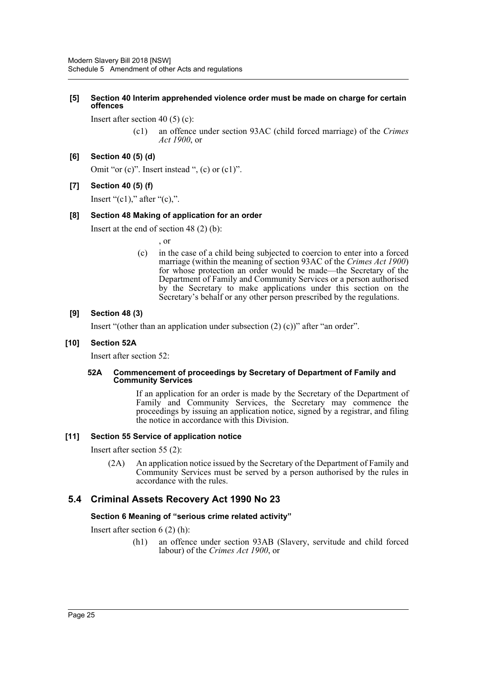#### **[5] Section 40 Interim apprehended violence order must be made on charge for certain offences**

Insert after section 40 (5) (c):

(c1) an offence under section 93AC (child forced marriage) of the *Crimes Act 1900*, or

#### **[6] Section 40 (5) (d)**

Omit "or (c)". Insert instead ", (c) or (c1)".

#### **[7] Section 40 (5) (f)**

Insert " $(c1)$ ," after " $(c)$ ,".

#### **[8] Section 48 Making of application for an order**

Insert at the end of section 48 (2) (b):

, or

(c) in the case of a child being subjected to coercion to enter into a forced marriage (within the meaning of section 93AC of the *Crimes Act 1900*) for whose protection an order would be made—the Secretary of the Department of Family and Community Services or a person authorised by the Secretary to make applications under this section on the Secretary's behalf or any other person prescribed by the regulations.

#### **[9] Section 48 (3)**

Insert "(other than an application under subsection  $(2)$  (c))" after "an order".

#### **[10] Section 52A**

Insert after section 52:

#### **52A Commencement of proceedings by Secretary of Department of Family and Community Services**

If an application for an order is made by the Secretary of the Department of Family and Community Services, the Secretary may commence the proceedings by issuing an application notice, signed by a registrar, and filing the notice in accordance with this Division.

#### **[11] Section 55 Service of application notice**

Insert after section 55 (2):

(2A) An application notice issued by the Secretary of the Department of Family and Community Services must be served by a person authorised by the rules in accordance with the rules.

#### **5.4 Criminal Assets Recovery Act 1990 No 23**

#### **Section 6 Meaning of "serious crime related activity"**

Insert after section 6 (2) (h):

(h1) an offence under section 93AB (Slavery, servitude and child forced labour) of the *Crimes Act 1900*, or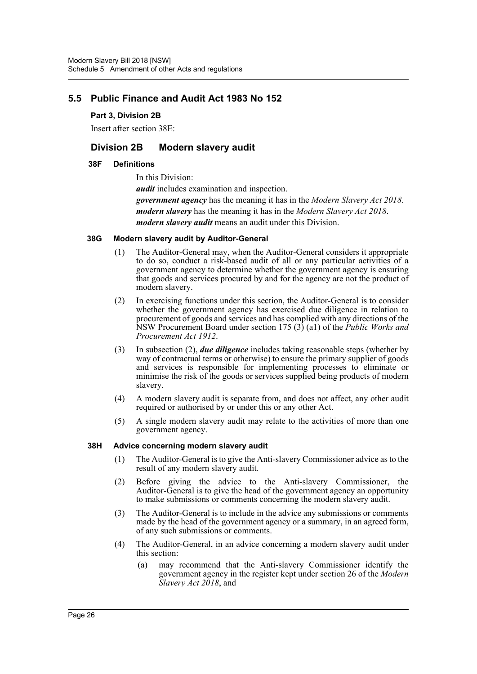# **5.5 Public Finance and Audit Act 1983 No 152**

#### **Part 3, Division 2B**

Insert after section 38E:

# **Division 2B Modern slavery audit**

#### **38F Definitions**

In this Division: *audit* includes examination and inspection. *government agency* has the meaning it has in the *Modern Slavery Act 2018*. *modern slavery* has the meaning it has in the *Modern Slavery Act 2018*. *modern slavery audit* means an audit under this Division.

#### **38G Modern slavery audit by Auditor-General**

- (1) The Auditor-General may, when the Auditor-General considers it appropriate to do so, conduct a risk-based audit of all or any particular activities of a government agency to determine whether the government agency is ensuring that goods and services procured by and for the agency are not the product of modern slavery.
- (2) In exercising functions under this section, the Auditor-General is to consider whether the government agency has exercised due diligence in relation to procurement of goods and services and has complied with any directions of the NSW Procurement Board under section 175 (3) (a1) of the *Public Works and Procurement Act 1912*.
- (3) In subsection (2), *due diligence* includes taking reasonable steps (whether by way of contractual terms or otherwise) to ensure the primary supplier of goods and services is responsible for implementing processes to eliminate or minimise the risk of the goods or services supplied being products of modern slavery.
- (4) A modern slavery audit is separate from, and does not affect, any other audit required or authorised by or under this or any other Act.
- (5) A single modern slavery audit may relate to the activities of more than one government agency.

#### **38H Advice concerning modern slavery audit**

- (1) The Auditor-General is to give the Anti-slavery Commissioner advice as to the result of any modern slavery audit.
- (2) Before giving the advice to the Anti-slavery Commissioner, the Auditor-General is to give the head of the government agency an opportunity to make submissions or comments concerning the modern slavery audit.
- (3) The Auditor-General is to include in the advice any submissions or comments made by the head of the government agency or a summary, in an agreed form, of any such submissions or comments.
- (4) The Auditor-General, in an advice concerning a modern slavery audit under this section:
	- (a) may recommend that the Anti-slavery Commissioner identify the government agency in the register kept under section 26 of the *Modern Slavery Act 2018*, and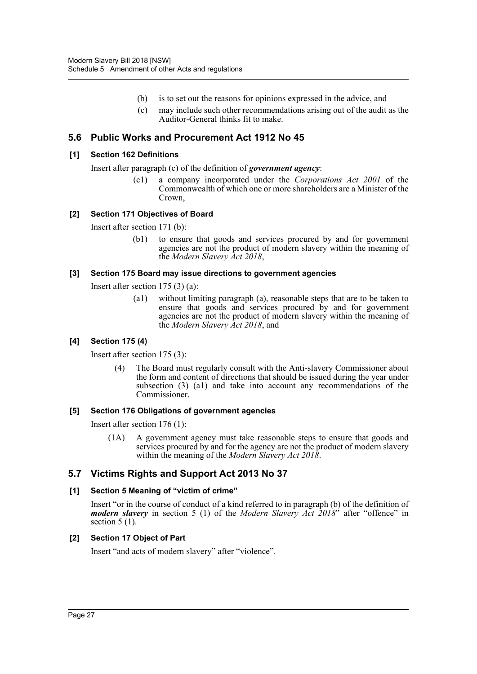- (b) is to set out the reasons for opinions expressed in the advice, and
- (c) may include such other recommendations arising out of the audit as the Auditor-General thinks fit to make.

### **5.6 Public Works and Procurement Act 1912 No 45**

#### **[1] Section 162 Definitions**

Insert after paragraph (c) of the definition of *government agency*:

(c1) a company incorporated under the *Corporations Act 2001* of the Commonwealth of which one or more shareholders are a Minister of the Crown,

#### **[2] Section 171 Objectives of Board**

Insert after section 171 (b):

(b1) to ensure that goods and services procured by and for government agencies are not the product of modern slavery within the meaning of the *Modern Slavery Act 2018*,

#### **[3] Section 175 Board may issue directions to government agencies**

Insert after section 175 (3) (a):

(a1) without limiting paragraph (a), reasonable steps that are to be taken to ensure that goods and services procured by and for government agencies are not the product of modern slavery within the meaning of the *Modern Slavery Act 2018*, and

#### **[4] Section 175 (4)**

Insert after section 175 (3):

(4) The Board must regularly consult with the Anti-slavery Commissioner about the form and content of directions that should be issued during the year under subsection (3) (a1) and take into account any recommendations of the Commissioner.

#### **[5] Section 176 Obligations of government agencies**

Insert after section 176 (1):

(1A) A government agency must take reasonable steps to ensure that goods and services procured by and for the agency are not the product of modern slavery within the meaning of the *Modern Slavery Act 2018*.

# **5.7 Victims Rights and Support Act 2013 No 37**

#### **[1] Section 5 Meaning of "victim of crime"**

Insert "or in the course of conduct of a kind referred to in paragraph (b) of the definition of *modern slavery* in section 5 (1) of the *Modern Slavery Act 2018*" after "offence" in section  $5(1)$ .

#### **[2] Section 17 Object of Part**

Insert "and acts of modern slavery" after "violence".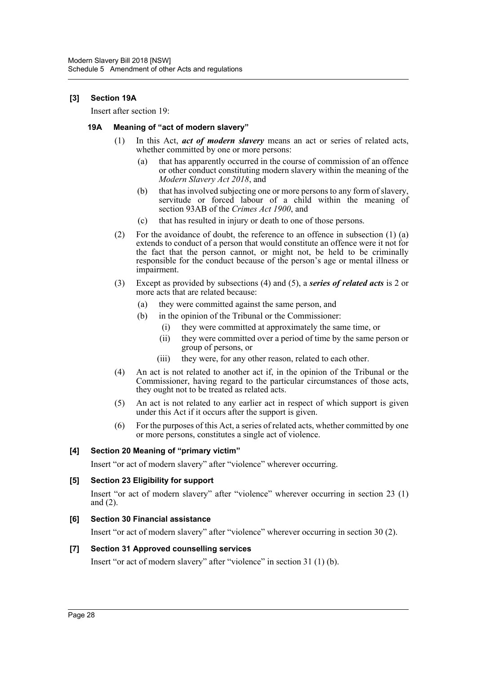#### **[3] Section 19A**

Insert after section 19:

#### **19A Meaning of "act of modern slavery"**

- (1) In this Act, *act of modern slavery* means an act or series of related acts, whether committed by one or more persons:
	- (a) that has apparently occurred in the course of commission of an offence or other conduct constituting modern slavery within the meaning of the *Modern Slavery Act 2018*, and
	- (b) that has involved subjecting one or more persons to any form of slavery, servitude or forced labour of a child within the meaning of section 93AB of the *Crimes Act 1900*, and
	- (c) that has resulted in injury or death to one of those persons.
- (2) For the avoidance of doubt, the reference to an offence in subsection (1) (a) extends to conduct of a person that would constitute an offence were it not for the fact that the person cannot, or might not, be held to be criminally responsible for the conduct because of the person's age or mental illness or impairment.
- (3) Except as provided by subsections (4) and (5), a *series of related acts* is 2 or more acts that are related because:
	- (a) they were committed against the same person, and
	- (b) in the opinion of the Tribunal or the Commissioner:
		- (i) they were committed at approximately the same time, or
		- (ii) they were committed over a period of time by the same person or group of persons, or
		- (iii) they were, for any other reason, related to each other.
- (4) An act is not related to another act if, in the opinion of the Tribunal or the Commissioner, having regard to the particular circumstances of those acts, they ought not to be treated as related acts.
- (5) An act is not related to any earlier act in respect of which support is given under this Act if it occurs after the support is given.
- (6) For the purposes of this Act, a series of related acts, whether committed by one or more persons, constitutes a single act of violence.

#### **[4] Section 20 Meaning of "primary victim"**

Insert "or act of modern slavery" after "violence" wherever occurring.

#### **[5] Section 23 Eligibility for support**

Insert "or act of modern slavery" after "violence" wherever occurring in section 23 (1) and (2).

#### **[6] Section 30 Financial assistance**

Insert "or act of modern slavery" after "violence" wherever occurring in section 30 (2).

#### **[7] Section 31 Approved counselling services**

Insert "or act of modern slavery" after "violence" in section 31 (1) (b).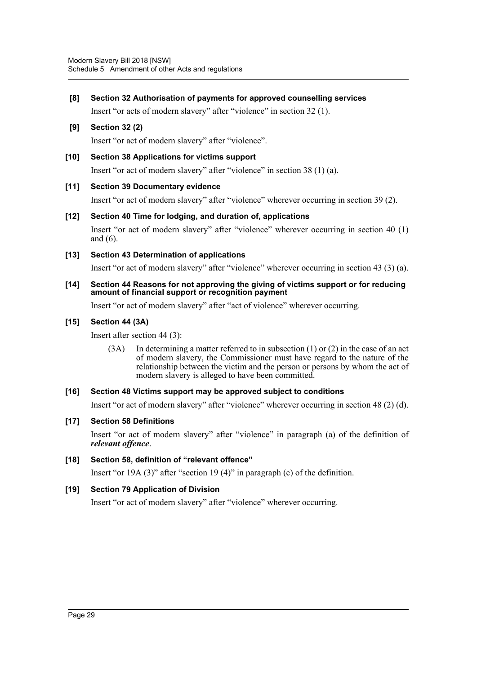**[8] Section 32 Authorisation of payments for approved counselling services**

Insert "or acts of modern slavery" after "violence" in section 32 (1).

### **[9] Section 32 (2)**

Insert "or act of modern slavery" after "violence".

#### **[10] Section 38 Applications for victims support**

Insert "or act of modern slavery" after "violence" in section 38 (1) (a).

#### **[11] Section 39 Documentary evidence**

Insert "or act of modern slavery" after "violence" wherever occurring in section 39 (2).

**[12] Section 40 Time for lodging, and duration of, applications** Insert "or act of modern slavery" after "violence" wherever occurring in section 40 (1) and (6).

#### **[13] Section 43 Determination of applications**

Insert "or act of modern slavery" after "violence" wherever occurring in section 43 (3) (a).

**[14] Section 44 Reasons for not approving the giving of victims support or for reducing amount of financial support or recognition payment**

Insert "or act of modern slavery" after "act of violence" wherever occurring.

#### **[15] Section 44 (3A)**

Insert after section 44 (3):

(3A) In determining a matter referred to in subsection (1) or (2) in the case of an act of modern slavery, the Commissioner must have regard to the nature of the relationship between the victim and the person or persons by whom the act of modern slavery is alleged to have been committed.

#### **[16] Section 48 Victims support may be approved subject to conditions**

Insert "or act of modern slavery" after "violence" wherever occurring in section 48 (2) (d).

#### **[17] Section 58 Definitions**

Insert "or act of modern slavery" after "violence" in paragraph (a) of the definition of *relevant offence*.

#### **[18] Section 58, definition of "relevant offence"**

Insert "or 19A (3)" after "section 19 (4)" in paragraph (c) of the definition.

#### **[19] Section 79 Application of Division**

Insert "or act of modern slavery" after "violence" wherever occurring.